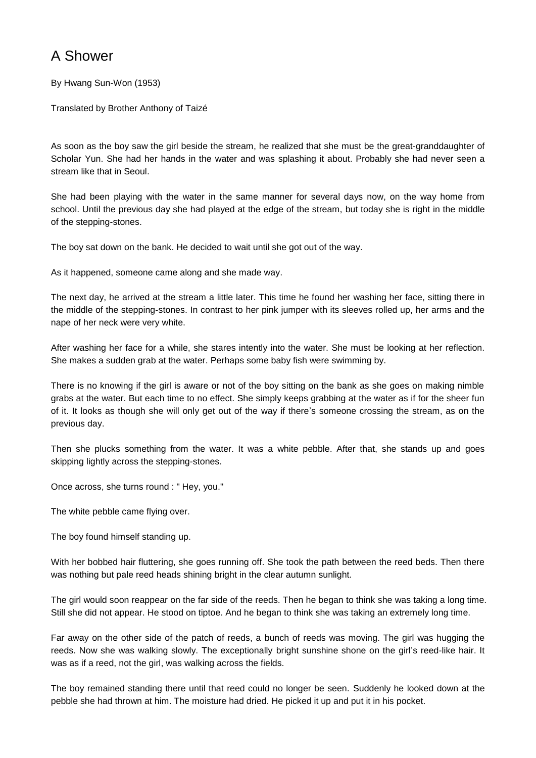## A Shower

By Hwang Sun-Won (1953)

Translated by Brother Anthony of Taizé

As soon as the boy saw the girl beside the stream, he realized that she must be the great-granddaughter of Scholar Yun. She had her hands in the water and was splashing it about. Probably she had never seen a stream like that in Seoul.

She had been playing with the water in the same manner for several days now, on the way home from school. Until the previous day she had played at the edge of the stream, but today she is right in the middle of the stepping-stones.

The boy sat down on the bank. He decided to wait until she got out of the way.

As it happened, someone came along and she made way.

The next day, he arrived at the stream a little later. This time he found her washing her face, sitting there in the middle of the stepping-stones. In contrast to her pink jumper with its sleeves rolled up, her arms and the nape of her neck were very white.

After washing her face for a while, she stares intently into the water. She must be looking at her reflection. She makes a sudden grab at the water. Perhaps some baby fish were swimming by.

There is no knowing if the girl is aware or not of the boy sitting on the bank as she goes on making nimble grabs at the water. But each time to no effect. She simply keeps grabbing at the water as if for the sheer fun of it. It looks as though she will only get out of the way if there's someone crossing the stream, as on the previous day.

Then she plucks something from the water. It was a white pebble. After that, she stands up and goes skipping lightly across the stepping-stones.

Once across, she turns round : " Hey, you."

The white pebble came flying over.

The boy found himself standing up.

With her bobbed hair fluttering, she goes running off. She took the path between the reed beds. Then there was nothing but pale reed heads shining bright in the clear autumn sunlight.

The girl would soon reappear on the far side of the reeds. Then he began to think she was taking a long time. Still she did not appear. He stood on tiptoe. And he began to think she was taking an extremely long time.

Far away on the other side of the patch of reeds, a bunch of reeds was moving. The girl was hugging the reeds. Now she was walking slowly. The exceptionally bright sunshine shone on the girl's reed-like hair. It was as if a reed, not the girl, was walking across the fields.

The boy remained standing there until that reed could no longer be seen. Suddenly he looked down at the pebble she had thrown at him. The moisture had dried. He picked it up and put it in his pocket.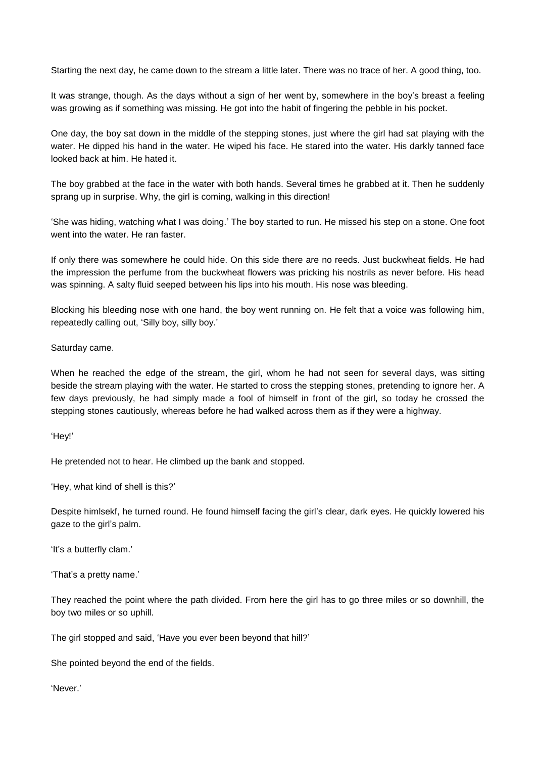Starting the next day, he came down to the stream a little later. There was no trace of her. A good thing, too.

It was strange, though. As the days without a sign of her went by, somewhere in the boy's breast a feeling was growing as if something was missing. He got into the habit of fingering the pebble in his pocket.

One day, the boy sat down in the middle of the stepping stones, just where the girl had sat playing with the water. He dipped his hand in the water. He wiped his face. He stared into the water. His darkly tanned face looked back at him. He hated it.

The boy grabbed at the face in the water with both hands. Several times he grabbed at it. Then he suddenly sprang up in surprise. Why, the girl is coming, walking in this direction!

'She was hiding, watching what I was doing.' The boy started to run. He missed his step on a stone. One foot went into the water. He ran faster.

If only there was somewhere he could hide. On this side there are no reeds. Just buckwheat fields. He had the impression the perfume from the buckwheat flowers was pricking his nostrils as never before. His head was spinning. A salty fluid seeped between his lips into his mouth. His nose was bleeding.

Blocking his bleeding nose with one hand, the boy went running on. He felt that a voice was following him, repeatedly calling out, 'Silly boy, silly boy.'

## Saturday came.

When he reached the edge of the stream, the girl, whom he had not seen for several days, was sitting beside the stream playing with the water. He started to cross the stepping stones, pretending to ignore her. A few days previously, he had simply made a fool of himself in front of the girl, so today he crossed the stepping stones cautiously, whereas before he had walked across them as if they were a highway.

## 'Hey!'

He pretended not to hear. He climbed up the bank and stopped.

'Hey, what kind of shell is this?'

Despite himlsekf, he turned round. He found himself facing the girl's clear, dark eyes. He quickly lowered his gaze to the girl's palm.

'It's a butterfly clam.'

'That's a pretty name.'

They reached the point where the path divided. From here the girl has to go three miles or so downhill, the boy two miles or so uphill.

The girl stopped and said, 'Have you ever been beyond that hill?'

She pointed beyond the end of the fields.

'Never.'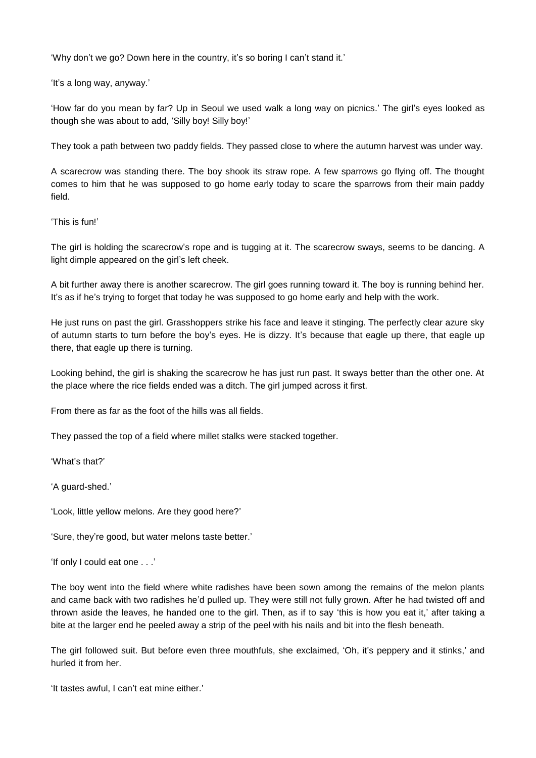'Why don't we go? Down here in the country, it's so boring I can't stand it.'

'It's a long way, anyway.'

'How far do you mean by far? Up in Seoul we used walk a long way on picnics.' The girl's eyes looked as though she was about to add, 'Silly boy! Silly boy!'

They took a path between two paddy fields. They passed close to where the autumn harvest was under way.

A scarecrow was standing there. The boy shook its straw rope. A few sparrows go flying off. The thought comes to him that he was supposed to go home early today to scare the sparrows from their main paddy field.

'This is fun!'

The girl is holding the scarecrow's rope and is tugging at it. The scarecrow sways, seems to be dancing. A light dimple appeared on the girl's left cheek.

A bit further away there is another scarecrow. The girl goes running toward it. The boy is running behind her. It's as if he's trying to forget that today he was supposed to go home early and help with the work.

He just runs on past the girl. Grasshoppers strike his face and leave it stinging. The perfectly clear azure sky of autumn starts to turn before the boy's eyes. He is dizzy. It's because that eagle up there, that eagle up there, that eagle up there is turning.

Looking behind, the girl is shaking the scarecrow he has just run past. It sways better than the other one. At the place where the rice fields ended was a ditch. The girl jumped across it first.

From there as far as the foot of the hills was all fields.

They passed the top of a field where millet stalks were stacked together.

'What's that?'

'A guard-shed.'

'Look, little yellow melons. Are they good here?'

'Sure, they're good, but water melons taste better.'

'If only I could eat one . . .'

The boy went into the field where white radishes have been sown among the remains of the melon plants and came back with two radishes he'd pulled up. They were still not fully grown. After he had twisted off and thrown aside the leaves, he handed one to the girl. Then, as if to say 'this is how you eat it,' after taking a bite at the larger end he peeled away a strip of the peel with his nails and bit into the flesh beneath.

The girl followed suit. But before even three mouthfuls, she exclaimed, 'Oh, it's peppery and it stinks,' and hurled it from her.

'It tastes awful, I can't eat mine either.'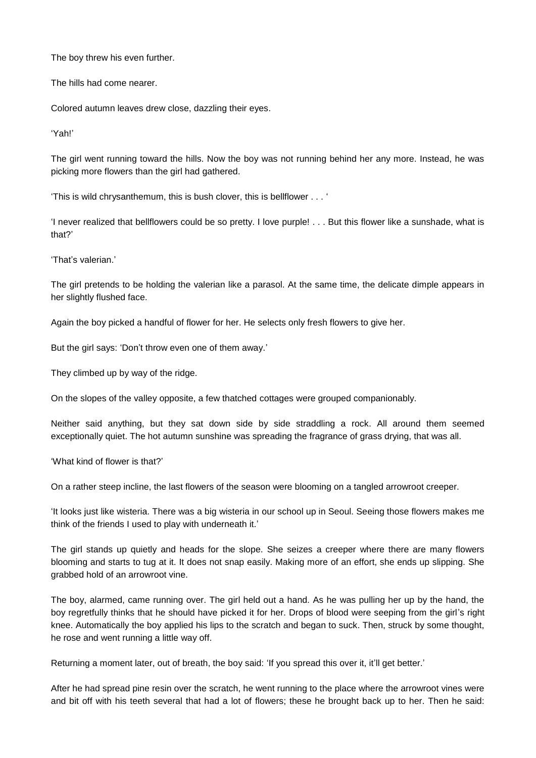The boy threw his even further.

The hills had come nearer.

Colored autumn leaves drew close, dazzling their eyes.

'Yah!'

The girl went running toward the hills. Now the boy was not running behind her any more. Instead, he was picking more flowers than the girl had gathered.

'This is wild chrysanthemum, this is bush clover, this is bellflower . . . '

'I never realized that bellflowers could be so pretty. I love purple! . . . But this flower like a sunshade, what is that?'

'That's valerian.'

The girl pretends to be holding the valerian like a parasol. At the same time, the delicate dimple appears in her slightly flushed face.

Again the boy picked a handful of flower for her. He selects only fresh flowers to give her.

But the girl says: 'Don't throw even one of them away.'

They climbed up by way of the ridge.

On the slopes of the valley opposite, a few thatched cottages were grouped companionably.

Neither said anything, but they sat down side by side straddling a rock. All around them seemed exceptionally quiet. The hot autumn sunshine was spreading the fragrance of grass drying, that was all.

'What kind of flower is that?'

On a rather steep incline, the last flowers of the season were blooming on a tangled arrowroot creeper.

'It looks just like wisteria. There was a big wisteria in our school up in Seoul. Seeing those flowers makes me think of the friends I used to play with underneath it.'

The girl stands up quietly and heads for the slope. She seizes a creeper where there are many flowers blooming and starts to tug at it. It does not snap easily. Making more of an effort, she ends up slipping. She grabbed hold of an arrowroot vine.

The boy, alarmed, came running over. The girl held out a hand. As he was pulling her up by the hand, the boy regretfully thinks that he should have picked it for her. Drops of blood were seeping from the girl's right knee. Automatically the boy applied his lips to the scratch and began to suck. Then, struck by some thought, he rose and went running a little way off.

Returning a moment later, out of breath, the boy said: 'If you spread this over it, it'll get better.'

After he had spread pine resin over the scratch, he went running to the place where the arrowroot vines were and bit off with his teeth several that had a lot of flowers; these he brought back up to her. Then he said: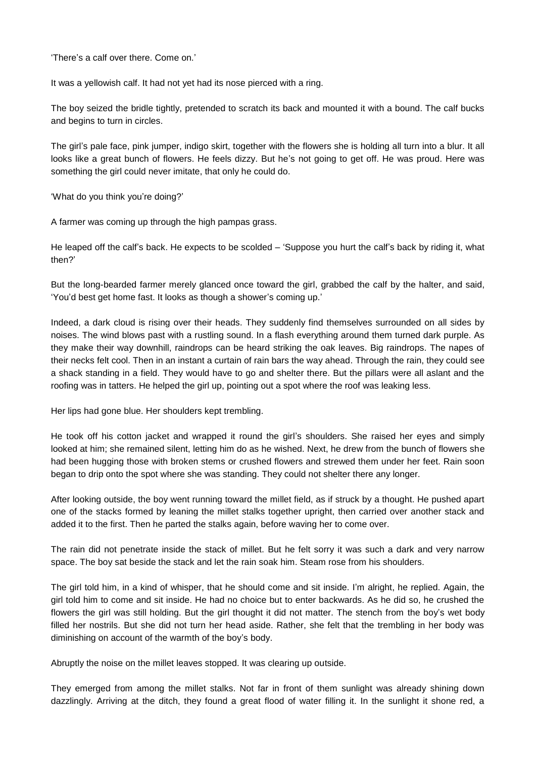'There's a calf over there. Come on.'

It was a yellowish calf. It had not yet had its nose pierced with a ring.

The boy seized the bridle tightly, pretended to scratch its back and mounted it with a bound. The calf bucks and begins to turn in circles.

The girl's pale face, pink jumper, indigo skirt, together with the flowers she is holding all turn into a blur. It all looks like a great bunch of flowers. He feels dizzy. But he's not going to get off. He was proud. Here was something the girl could never imitate, that only he could do.

'What do you think you're doing?'

A farmer was coming up through the high pampas grass.

He leaped off the calf's back. He expects to be scolded – 'Suppose you hurt the calf's back by riding it, what then?'

But the long-bearded farmer merely glanced once toward the girl, grabbed the calf by the halter, and said, 'You'd best get home fast. It looks as though a shower's coming up.'

Indeed, a dark cloud is rising over their heads. They suddenly find themselves surrounded on all sides by noises. The wind blows past with a rustling sound. In a flash everything around them turned dark purple. As they make their way downhill, raindrops can be heard striking the oak leaves. Big raindrops. The napes of their necks felt cool. Then in an instant a curtain of rain bars the way ahead. Through the rain, they could see a shack standing in a field. They would have to go and shelter there. But the pillars were all aslant and the roofing was in tatters. He helped the girl up, pointing out a spot where the roof was leaking less.

Her lips had gone blue. Her shoulders kept trembling.

He took off his cotton jacket and wrapped it round the girl's shoulders. She raised her eyes and simply looked at him; she remained silent, letting him do as he wished. Next, he drew from the bunch of flowers she had been hugging those with broken stems or crushed flowers and strewed them under her feet. Rain soon began to drip onto the spot where she was standing. They could not shelter there any longer.

After looking outside, the boy went running toward the millet field, as if struck by a thought. He pushed apart one of the stacks formed by leaning the millet stalks together upright, then carried over another stack and added it to the first. Then he parted the stalks again, before waving her to come over.

The rain did not penetrate inside the stack of millet. But he felt sorry it was such a dark and very narrow space. The boy sat beside the stack and let the rain soak him. Steam rose from his shoulders.

The girl told him, in a kind of whisper, that he should come and sit inside. I'm alright, he replied. Again, the girl told him to come and sit inside. He had no choice but to enter backwards. As he did so, he crushed the flowers the girl was still holding. But the girl thought it did not matter. The stench from the boy's wet body filled her nostrils. But she did not turn her head aside. Rather, she felt that the trembling in her body was diminishing on account of the warmth of the boy's body.

Abruptly the noise on the millet leaves stopped. It was clearing up outside.

They emerged from among the millet stalks. Not far in front of them sunlight was already shining down dazzlingly. Arriving at the ditch, they found a great flood of water filling it. In the sunlight it shone red, a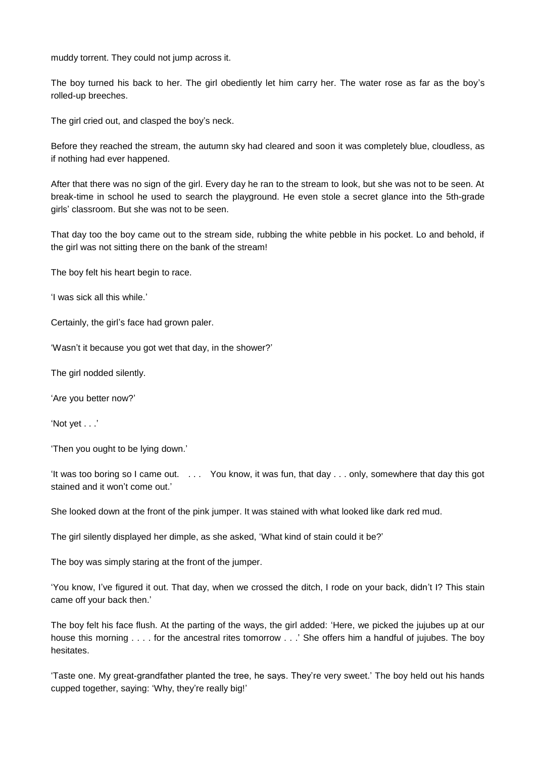muddy torrent. They could not jump across it.

The boy turned his back to her. The girl obediently let him carry her. The water rose as far as the boy's rolled-up breeches.

The girl cried out, and clasped the boy's neck.

Before they reached the stream, the autumn sky had cleared and soon it was completely blue, cloudless, as if nothing had ever happened.

After that there was no sign of the girl. Every day he ran to the stream to look, but she was not to be seen. At break-time in school he used to search the playground. He even stole a secret glance into the 5th-grade girls' classroom. But she was not to be seen.

That day too the boy came out to the stream side, rubbing the white pebble in his pocket. Lo and behold, if the girl was not sitting there on the bank of the stream!

The boy felt his heart begin to race.

'I was sick all this while.'

Certainly, the girl's face had grown paler.

'Wasn't it because you got wet that day, in the shower?'

The girl nodded silently.

'Are you better now?'

'Not yet . . .'

'Then you ought to be lying down.'

'It was too boring so I came out. . . . You know, it was fun, that day . . . only, somewhere that day this got stained and it won't come out.'

She looked down at the front of the pink jumper. It was stained with what looked like dark red mud.

The girl silently displayed her dimple, as she asked, 'What kind of stain could it be?'

The boy was simply staring at the front of the jumper.

'You know, I've figured it out. That day, when we crossed the ditch, I rode on your back, didn't I? This stain came off your back then.'

The boy felt his face flush. At the parting of the ways, the girl added: 'Here, we picked the jujubes up at our house this morning . . . . for the ancestral rites tomorrow . . .' She offers him a handful of jujubes. The boy hesitates.

'Taste one. My great-grandfather planted the tree, he says. They're very sweet.' The boy held out his hands cupped together, saying: 'Why, they're really big!'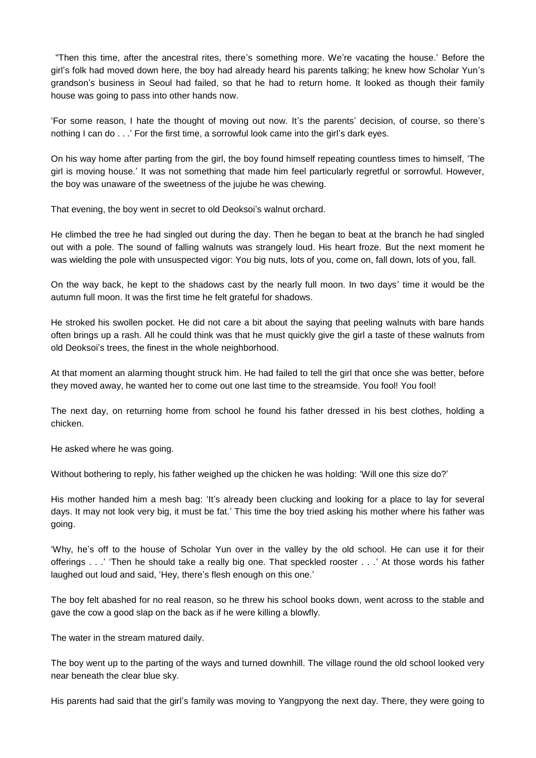"Then this time, after the ancestral rites, there's something more. We're vacating the house.' Before the girl's folk had moved down here, the boy had already heard his parents talking; he knew how Scholar Yun's grandson's business in Seoul had failed, so that he had to return home. It looked as though their family house was going to pass into other hands now.

'For some reason, I hate the thought of moving out now. It's the parents' decision, of course, so there's nothing I can do . . .' For the first time, a sorrowful look came into the girl's dark eyes.

On his way home after parting from the girl, the boy found himself repeating countless times to himself, 'The girl is moving house.' It was not something that made him feel particularly regretful or sorrowful. However, the boy was unaware of the sweetness of the jujube he was chewing.

That evening, the boy went in secret to old Deoksoi's walnut orchard.

He climbed the tree he had singled out during the day. Then he began to beat at the branch he had singled out with a pole. The sound of falling walnuts was strangely loud. His heart froze. But the next moment he was wielding the pole with unsuspected vigor: You big nuts, lots of you, come on, fall down, lots of you, fall.

On the way back, he kept to the shadows cast by the nearly full moon. In two days' time it would be the autumn full moon. It was the first time he felt grateful for shadows.

He stroked his swollen pocket. He did not care a bit about the saying that peeling walnuts with bare hands often brings up a rash. All he could think was that he must quickly give the girl a taste of these walnuts from old Deoksoi's trees, the finest in the whole neighborhood.

At that moment an alarming thought struck him. He had failed to tell the girl that once she was better, before they moved away, he wanted her to come out one last time to the streamside. You fool! You fool!

The next day, on returning home from school he found his father dressed in his best clothes, holding a chicken.

He asked where he was going.

Without bothering to reply, his father weighed up the chicken he was holding: 'Will one this size do?'

His mother handed him a mesh bag: 'It's already been clucking and looking for a place to lay for several days. It may not look very big, it must be fat.' This time the boy tried asking his mother where his father was going.

'Why, he's off to the house of Scholar Yun over in the valley by the old school. He can use it for their offerings . . .' 'Then he should take a really big one. That speckled rooster . . .' At those words his father laughed out loud and said, 'Hey, there's flesh enough on this one.'

The boy felt abashed for no real reason, so he threw his school books down, went across to the stable and gave the cow a good slap on the back as if he were killing a blowfly.

The water in the stream matured daily.

The boy went up to the parting of the ways and turned downhill. The village round the old school looked very near beneath the clear blue sky.

His parents had said that the girl's family was moving to Yangpyong the next day. There, they were going to